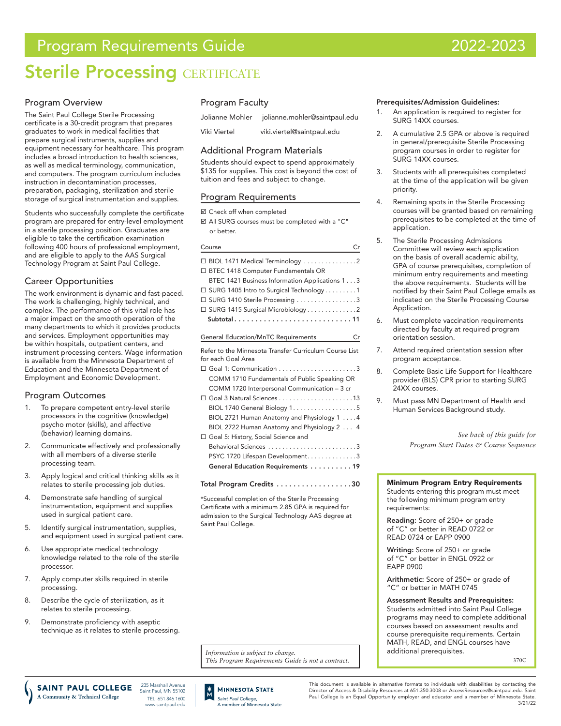# Program Requirements Guide 2022-2023

# **Sterile Processing CERTIFICATE**

## Program Overview

The Saint Paul College Sterile Processing certificate is a 30-credit program that prepares graduates to work in medical facilities that prepare surgical instruments, supplies and equipment necessary for healthcare. This program includes a broad introduction to health sciences, as well as medical terminology, communication, and computers. The program curriculum includes instruction in decontamination processes, preparation, packaging, sterilization and sterile storage of surgical instrumentation and supplies.

Students who successfully complete the certificate program are prepared for entry-level employment in a sterile processing position. Graduates are eligible to take the certification examination following 400 hours of professional employment, and are eligible to apply to the AAS Surgical Technology Program at Saint Paul College.

# Career Opportunities

The work environment is dynamic and fast-paced. The work is challenging, highly technical, and complex. The performance of this vital role has a major impact on the smooth operation of the many departments to which it provides products and services. Employment opportunities may be within hospitals, outpatient centers, and instrument processing centers. Wage information is available from the Minnesota Department of Education and the Minnesota Department of Employment and Economic Development.

## Program Outcomes

- 1. To prepare competent entry-level sterile processors in the cognitive (knowledge) psycho motor (skills), and affective (behavior) learning domains.
- 2. Communicate effectively and professionally with all members of a diverse sterile processing team.
- 3. Apply logical and critical thinking skills as it relates to sterile processing job duties.
- 4. Demonstrate safe handling of surgical instrumentation, equipment and supplies used in surgical patient care.
- 5. Identify surgical instrumentation, supplies, and equipment used in surgical patient care.
- 6. Use appropriate medical technology knowledge related to the role of the sterile processor.
- 7. Apply computer skills required in sterile processing.
- 8. Describe the cycle of sterilization, as it relates to sterile processing.
- 9. Demonstrate proficiency with aseptic technique as it relates to sterile processing.

# Program Faculty

| Jolianne Mohler | jolianne.mohler@saintpaul.edu |
|-----------------|-------------------------------|
| Viki Viertel    | viki.viertel@saintpaul.edu    |

### Additional Program Materials

Students should expect to spend approximately \$135 for supplies. This cost is beyond the cost of tuition and fees and subject to change.

### Program Requirements

■ Check off when completed

 All SURG courses must be completed with a "C" or better.

| Course                                                 | Cr |
|--------------------------------------------------------|----|
| $\Box$ BIOL 1471 Medical Terminology 2                 |    |
| BTEC 1418 Computer Fundamentals OR                     |    |
| BTEC 1421 Business Information Applications 13         |    |
| $\Box$ SURG 1405 Intro to Surgical Technology 1        |    |
| □ SURG 1410 Sterile Processing 3                       |    |
|                                                        |    |
| Subtotal11                                             |    |
| <b>General Education/MnTC Requirements</b>             | Cr |
| Refer to the Minnesota Transfer Curriculum Course List |    |
| for each Goal Area                                     |    |
|                                                        |    |
| COMM 1710 Fundamentals of Public Speaking OR           |    |
| COMM 1720 Interpersonal Communication - 3 cr           |    |
|                                                        |    |
| BIOL 1740 General Biology 15                           |    |
| BIOL 2721 Human Anatomy and Physiology 1 4             |    |
| BIOL 2722 Human Anatomy and Physiology 2  4            |    |
| □ Goal 5: History, Social Science and                  |    |
|                                                        |    |
| PSYC 1720 Lifespan Development. 3                      |    |
| General Education Requirements 19                      |    |
|                                                        |    |

Total Program Credits . . . . . . . . . . . . . . . . . 30

\*Successful completion of the Sterile Processing Certificate with a minimum 2.85 GPA is required for admission to the Surgical Technology AAS degree at Saint Paul College.

*Information is subject to change. This Program Requirements Guide is not a contract.*

### Prerequisites/Admission Guidelines:

- 1. An application is required to register for SURG 14XX courses.
- 2. A cumulative 2.5 GPA or above is required in general/prerequisite Sterile Processing program courses in order to register for SURG 14XX courses.
- 3. Students with all prerequisites completed at the time of the application will be given priority.
- 4. Remaining spots in the Sterile Processing courses will be granted based on remaining prerequisites to be completed at the time of application.
- 5. The Sterile Processing Admissions Committee will review each application on the basis of overall academic ability, GPA of course prerequisites, completion of minimum entry requirements and meeting the above requirements. Students will be notified by their Saint Paul College emails as indicated on the Sterile Processing Course Application.
- 6. Must complete vaccination requirements directed by faculty at required program orientation session.
- 7. Attend required orientation session after program acceptance.
- 8. Complete Basic Life Support for Healthcare provider (BLS) CPR prior to starting SURG .<br>24XX courses.
- 9. Must pass MN Department of Health and Human Services Background study.

*See back of this guide for Program Start Dates & Course Sequence* 

Minimum Program Entry Requirements Students entering this program must meet the following minimum program entry requirements:

Reading: Score of 250+ or grade of "C" or better in READ 0722 or READ 0724 or EAPP 0900

Writing: Score of 250+ or grade of "C" or better in ENGL 0922 or EAPP 0900

Arithmetic: Score of 250+ or grade of "C" or better in MATH 0745

Assessment Results and Prerequisites: Students admitted into Saint Paul College programs may need to complete additional courses based on assessment results and course prerequisite requirements. Certain MATH, READ, and ENGL courses have additional prerequisites.

370C

235 Marshall Ave SAINT PAUL COLLEGE A Community & Technical College

Saint Paul, MN 55102 TEL: 651.846.1600 www.saintpaul.edu



This document is available in alternative formats to individuals with disabilities by contacting the Director of Access & Disability Resources at 651.350.3008 or AccessResources@saintpaul.edu. Saint Paul College is an Equal Opportunity employer and educator and a member of Minnesota State. 3/21/22